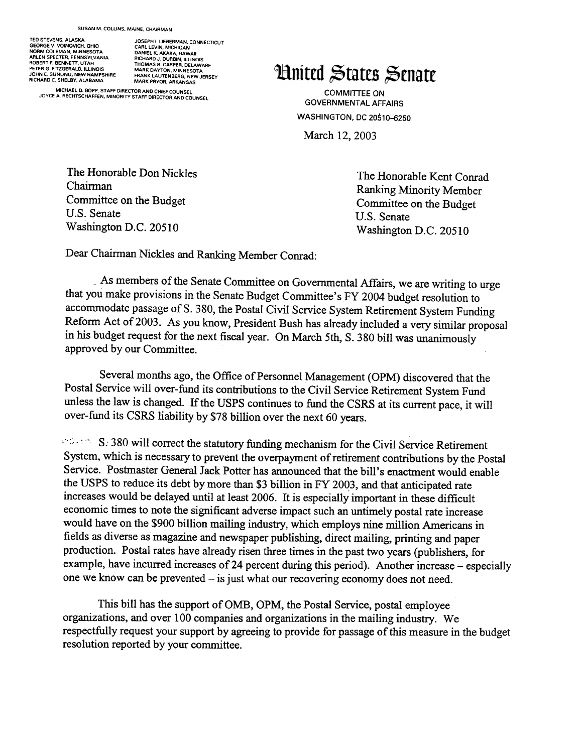GEORGE V. VOINOVICH, OHIO CARL LEVIN, MICHIGAN<br>NORM COLEMAN, MINNESOTA DANIEL K. AKAKA, HAWAI ARLEN SPECTER, PENNSYLVANIA RICHARD J DURBIN. ILLINOIS ROBERT F BENNETT, UTAH THOMAS R CARPER, DELAWARE PETER G FITZGERALD, ILLINOIS MARK DAYTON, MINNESOTA RICHARD C. SHELBY, ALABAMA

TEO STEVENS. ALASKA JOSEPH I LIEBERMAN. CONNECTICUT TED STEVENS, ALASKA HOT USE USE THIL LIEBERMAN, CONNECTICULAR CHARA CARL LEVIN, MICHIGAN<br>
NORM COLEMAN, MININESOTA DANIEL K. AKAKA, HAWAII<br>
ARLEN SPECTER, PENNSYLVANIA RICHARD J. DURBIN, ILLINOIS<br>
ROBERT F. BENNETT, UTAH<br>

MICHAEL D. BOPP, STAFF DIRECTOR AND CHIEF COUNSEL JOYCE A RECHTSCHAFFEN, MINORITY STAFF DIRECTOR AND COUNSEL

## **Hnited States Senate**

COMMITTEE ON GOVERNMENTAL AFFAIRS WASHINGTON, DC 20510-6250

March 12, 2003

The Honorable Don Nickles Chairman Committee on the Budget U.S. Senate Washington D.C. 20510

The Honorable Kent Conrad Ranking Minority Member Committee on the Budget U.S. Senate Washington D.C. 20510

Dear Chairman Nickles and Ranking Member Conrad:

-As members of the Senate Committee on Governmental Affairs, we are writing to urge that you make provisions in the Senate Budget Committee'sFY 2004 budget resolution to accommodate passage of S. 380, the Postal Civil Service System Retirement System Funding Reform Act of 2003. As you know, President Bush has already included a very similar proposal in his budget request for the next fiscal year. On March 5th, S. 380 bill was unanimously approved by our Committee.

Several months ago, the Office of Personnel Management (OPM) discovered that the Postal Service will over-fund its contributions to the Civil Service Retirement System Fund unless the law is changed. If the USPS continues to fund the CSRS at its current pace, it will over-fund its CSRS liability by \$78 billion over the next 60 years.

**SEPRES: 380 will correct the statutory funding mechanism for the Civil Service Retirement** System, which is necessary to prevent the overpayment of retirement contributions by the Postal Service. Postmaster General Jack Potter has announced that the bill's enactment would enable the USPS to reduce its debt by more than \$3 billion in FY 2003, and that anticipated rate increases would be delayed until at least 2006. It is especially important in these difficult economic times to note the significant adverse impact such an untimely postal rate increase would have on the \$900 billion mailing industry, which employs nine million Americans in fields as diverse as magazine and newspaper publishing, direct mailing, printing and paper production. Postal rates have already risen three times in the past two years (publishers, for example, have incurred increases of 24 percent during this period). Another increase – especially one we know can be prevented - is just what our recovering economy does not need.

This bill has the support of OMB, OPM, the Postal Service, postal employee organizations, and over 100 companies and organizations in the mailing industry. We respectfully request your support by agreeing to provide for passage of this measure in the budget resolution reported by your committee.